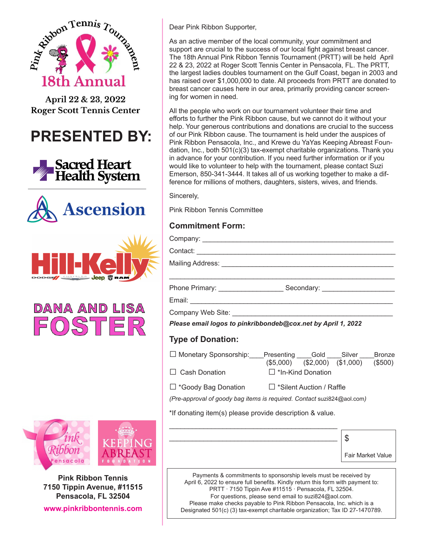

April 22 & 23, 2022 **Roger Scott Tennis Center** 

**PRESENTED BY:**











**Pink Ribbon Tennis 7150 Tippin Avenue, #11515 Pensacola, FL 32504 www.pinkribbontennis.com**

Dear Pink Ribbon Supporter,

As an active member of the local community, your commitment and support are crucial to the success of our local fight against breast cancer. The 18th Annual Pink Ribbon Tennis Tournament (PRTT) will be held April 22 & 23, 2022 at Roger Scott Tennis Center in Pensacola, FL. The PRTT, the largest ladies doubles tournament on the Gulf Coast, began in 2003 and has raised over \$1,000,000 to date. All proceeds from PRTT are donated to breast cancer causes here in our area, primarily providing cancer screening for women in need.

All the people who work on our tournament volunteer their time and efforts to further the Pink Ribbon cause, but we cannot do it without your help. Your generous contributions and donations are crucial to the success of our Pink Ribbon cause. The tournament is held under the auspices of Pink Ribbon Pensacola, Inc., and Krewe du YaYas Keeping Abreast Foundation, Inc., both 501(c)(3) tax-exempt charitable organizations. Thank you in advance for your contribution. If you need further information or if you would like to volunteer to help with the tournament, please contact Suzi Emerson, 850-341-3444. It takes all of us working together to make a difference for millions of mothers, daughters, sisters, wives, and friends.

Sincerely,

Pink Ribbon Tennis Committee

## **Commitment Form:**

Company:

Contact:

Mailing Address: \_\_\_\_\_\_\_\_\_\_\_\_\_\_\_\_\_\_\_\_\_\_\_\_\_\_\_\_\_\_\_\_\_\_\_\_\_\_\_\_\_\_\_\_\_

Phone Primary: \_\_\_\_\_\_\_\_\_\_\_\_\_\_\_\_\_ Secondary: \_\_\_\_\_\_\_\_\_\_\_\_\_\_\_\_\_\_\_

Email:

Company Web Site:

*Please email logos to pinkribbondeb@cox.net by April 1, 2022*

## **Type of Donation:**

| $\Box$ Monetary Sponsorship: | Presenting               | Gold | Silver                  | <b>Bronze</b> |
|------------------------------|--------------------------|------|-------------------------|---------------|
|                              | (S5.000)                 |      | $(\$2,000)$ $(\$1,000)$ | (\$500)       |
| $\Box$ Cash Donation         | $\Box$ *In-Kind Donation |      |                         |               |

\_\_\_\_\_\_\_\_\_\_\_\_\_\_\_\_\_\_\_\_\_\_\_\_\_\_\_\_\_\_\_\_\_\_\_\_\_\_\_\_\_\_\_\_\_\_\_\_\_\_\_\_\_\_\_\_\_\_\_

□ \*Goody Bag Donation □ \*Silent Auction / Raffle

*(Pre-approval of goody bag items is required. Contact* suzi824@aol.com*)*

\*If donating item(s) please provide description & value.

| Fair Market Value |
|-------------------|

Payments & commitments to sponsorship levels must be received by April 6, 2022 to ensure full benefits. Kindly return this form with payment to: PRTT · 7150 Tippin Ave #11515 · Pensacola, FL 32504. For questions, please send email to suzi824@aol.com. Please make checks payable to Pink Ribbon Pensacola, Inc. which is a Designated 501(c) (3) tax-exempt charitable organization; Tax ID 27-1470789.